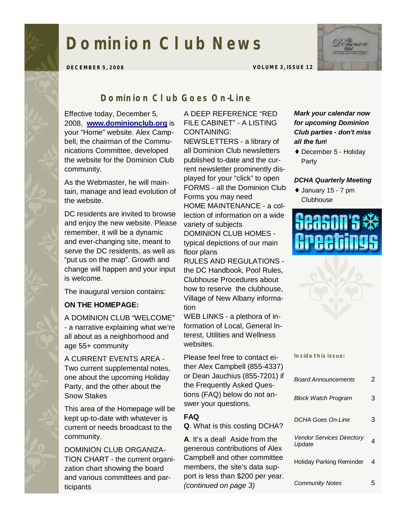# **Dominion Club News**



**DECEMBER 5, 2008 VOLUME 3, ISSUE 12** 

# *Dominion Club Goes On-Line*

Effective today, December 5, 2008, **[www.dominionclub.org](http://www.dominionclub.org)** is your "Home" website. Alex Campbell, the chairman of the Communications Committee, developed the website for the Dominion Club community.

As the Webmaster, he will maintain, manage and lead evolution of the website.

DC residents are invited to browse and enjoy the new website. Please remember, it will be a dynamic and ever-changing site, meant to serve the DC residents, as well as "put us on the map". Growth and change will happen and your input is welcome.

The inaugural version contains:

#### **ON THE HOMEPAGE:**

A DOMINION CLUB "WELCOME" - a narrative explaining what we're all about as a neighborhood and age 55+ community

A CURRENT EVENTS AREA - Two current supplemental notes, one about the upcoming Holiday Party, and the other about the Snow Stakes

This area of the Homepage will be kept up-to-date with whatever is current or needs broadcast to the community.

DOMINION CLUB ORGANIZA-TION CHART - the current organization chart showing the board and various committees and participants

#### A DEEP REFERENCE "RED FILE CABINET" - A LISTING CONTAINING:

NEWSLETTERS - a library of all Dominion Club newsletters published to-date and the current newsletter prominently displayed for your "click" to open FORMS - all the Dominion Club Forms you may need HOME MAINTENANCE - a collection of information on a wide variety of subjects DOMINION CLUB HOMES typical depictions of our main floor plans

RULES AND REGULATIONS the DC Handbook, Pool Rules, Clubhouse Procedures about how to reserve the clubhouse, Village of New Albany information

WEB LINKS - a plethora of information of Local, General Interest, Utilities and Wellness websites.

Please feel free to contact either Alex Campbell (855-4337) or Dean Jauchius (855-7201) if the Frequently Asked Questions (FAQ) below do not answer your questions.

#### **FAQ**

**Q**. What is this costing DCHA?

**A**. It's a deal! Aside from the generous contributions of Alex Campbell and other committee members, the site's data support is less than \$200 per year. *(continued on page 3)* 

#### *Mark your calendar now for upcoming Dominion Club parties - don't miss all the fun*!

♦ December 5 - Holiday Party

#### *DCHA Quarterly Meeting*

♦ January 15 - 7 pm **Clubhouse** 



**Inside this issue:** 

| <b>Board Announcements</b>                 | 2 |
|--------------------------------------------|---|
| <b>Block Watch Program</b>                 | 3 |
| <b>DCHA Goes On-Line</b>                   | 3 |
| <b>Vendor Services Directory</b><br>Update | 4 |
| Holiday Parking Reminder                   | 4 |
| <b>Community Notes</b>                     | 5 |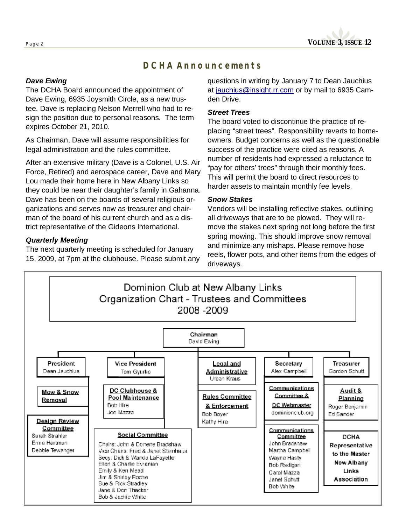# *DCHA Announcements*

### *Dave Ewing*

The DCHA Board announced the appointment of Dave Ewing, 6935 Joysmith Circle, as a new trustee. Dave is replacing Nelson Merrell who had to resign the position due to personal reasons. The term expires October 21, 2010.

As Chairman, Dave will assume responsibilities for legal administration and the rules committee.

After an extensive military (Dave is a Colonel, U.S. Air Force, Retired) and aerospace career, Dave and Mary Lou made their home here in New Albany Links so they could be near their daughter's family in Gahanna. Dave has been on the boards of several religious organizations and serves now as treasurer and chairman of the board of his current church and as a district representative of the Gideons International.

#### *Quarterly Meeting*

The next quarterly meeting is scheduled for January 15, 2009, at 7pm at the clubhouse. Please submit any questions in writing by January 7 to Dean Jauchius at [jauchius@insight.rr.com](mailto:jauchius@insight.rr.com) or by mail to 6935 Camden Drive.

#### *Street Trees*

The board voted to discontinue the practice of replacing "street trees". Responsibility reverts to homeowners. Budget concerns as well as the questionable success of the practice were cited as reasons. A number of residents had expressed a reluctance to "pay for others' trees" through their monthly fees. This will permit the board to direct resources to harder assets to maintain monthly fee levels.

#### *Snow Stakes*

Vendors will be installing reflective stakes, outlining all driveways that are to be plowed. They will remove the stakes next spring not long before the first spring mowing. This should improve snow removal and minimize any mishaps. Please remove hose reels, flower pots, and other items from the edges of driveways.

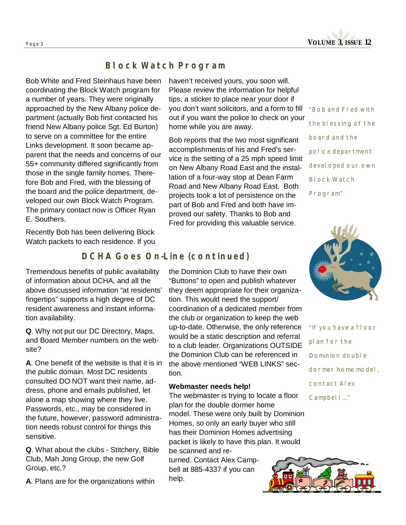

# *Block Watch Program*

Bob White and Fred Steinhaus have been coordinating the Block Watch program for a number of years. They were originally approached by the New Albany police department (actually Bob first contacted his friend New Albany police Sgt. Ed Burton) to serve on a committee for the entire Links development. It soon became apparent that the needs and concerns of our 55+ community differed significantly from those in the single family homes. Therefore Bob and Fred, with the blessing of the board and the police department, developed our own Block Watch Program. The primary contact now is Officer Ryan E. Southers.

Recently Bob has been delivering Block Watch packets to each residence. If you

Tremendous benefits of public availability of information about DCHA, and all the above discussed information "at residents' fingertips" supports a high degree of DC resident awareness and instant informa-

**Q**. Why not put our DC Directory, Maps, and Board Member numbers on the web-

**A**. One benefit of the website is that it is in the public domain. Most DC residents consulted DO NOT want their name, address, phone and emails published, let alone a map showing where they live. Passwords, etc., may be considered in the future, however, password administration needs robust control for things this

tion availability.

site?

sensitive.

haven't received yours, you soon will. Please review the information for helpful tips, a sticker to place near your door if you don't want solicitors, and a form to fill out if you want the police to check on your home while you are away.

Bob reports that the two most significant accomplishments of his and Fred's service is the setting of a 25 mph speed limit on New Albany Road East and the installation of a four-way stop at Dean Farm Road and New Albany Road East. Both projects took a lot of persistence on the part of Bob and Fred and both have improved our safety. Thanks to Bob and Fred for providing this valuable service.

*"Bob and Fred with the blessing of the board and the police department developed our own Block Watch Program"* 



*"If you have a floor plan for the Dominion double dormer home model, contact Alex Campbell..."* 

## *DCHA Goes On-Line (continued)*

the Dominion Club to have their own "Buttons" to open and publish whatever they deem appropriate for their organization. This would need the support/ coordination of a dedicated member from the club or organization to keep the web up-to-date. Otherwise, the only reference would be a static description and referral to a club leader. Organizations OUTSIDE the Dominion Club can be referenced in the above mentioned "WEB LINKS" section.

#### **Webmaster needs help!**

The webmaster is trying to locate a floor plan for the double dormer home model. These were only built by Dominion Homes, so only an early buyer who still has their Dominion Homes advertising packet is likely to have this plan. It would be scanned and re-

turned. Contact Alex Campbell at 885-4337 if you can help.



Club, Mah Jong Group, the new Golf Group, etc.?

**Q**. What about the clubs - Stitchery, Bible

**A**. Plans are for the organizations within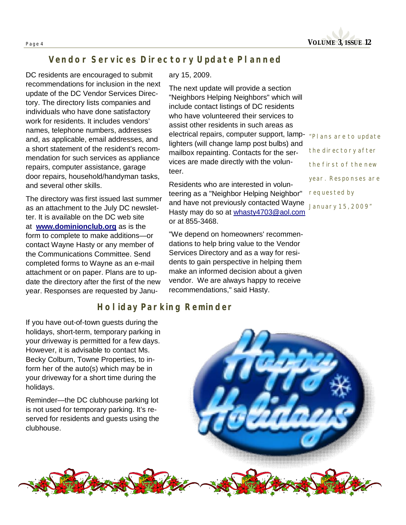**Page <sup>4</sup>VOLUME 3, ISSUE 12** 

# *Vendor Services Directory Update Planned*

DC residents are encouraged to submit recommendations for inclusion in the next update of the DC Vendor Services Directory. The directory lists companies and individuals who have done satisfactory work for residents. It includes vendors' names, telephone numbers, addresses and, as applicable, email addresses, and a short statement of the resident's recommendation for such services as appliance repairs, computer assistance, garage door repairs, household/handyman tasks, and several other skills.

The directory was first issued last summer as an attachment to the July DC newsletter. It is available on the DC web site at **[www.dominionclub.org](http://www.dominionclub.org)** as is the form to complete to make additions—or contact Wayne Hasty or any member of the Communications Committee. Send completed forms to Wayne as an e-mail attachment or on paper. Plans are to update the directory after the first of the new year. Responses are requested by Janu-

#### ary 15, 2009.

The next update will provide a section "Neighbors Helping Neighbors" which will include contact listings of DC residents who have volunteered their services to assist other residents in such areas as electrical repairs, computer support, lamplighters (will change lamp post bulbs) and mailbox repainting. Contacts for the services are made directly with the volunteer.

Residents who are interested in volunteering as a "Neighbor Helping Neighbor" and have not previously contacted Wayne Hasty may do so at [whasty4703@aol.com](mailto:whasty4703@aol.com) or at 855-3468.

"We depend on homeowners' recommendations to help bring value to the Vendor Services Directory and as a way for residents to gain perspective in helping them make an informed decision about a given vendor. We are always happy to receive recommendations," said Hasty.

# *Holiday Parking Reminder*

If you have out-of-town guests during the holidays, short-term, temporary parking in your driveway is permitted for a few days. However, it is advisable to contact Ms. Becky Colburn, Towne Properties, to inform her of the auto(s) which may be in your driveway for a short time during the holidays.

Reminder—the DC clubhouse parking lot is not used for temporary parking. It's reserved for residents and guests using the clubhouse.

*"Plans are to update the directory after the first of the new year. Responses are requested by January 15, 2009"*